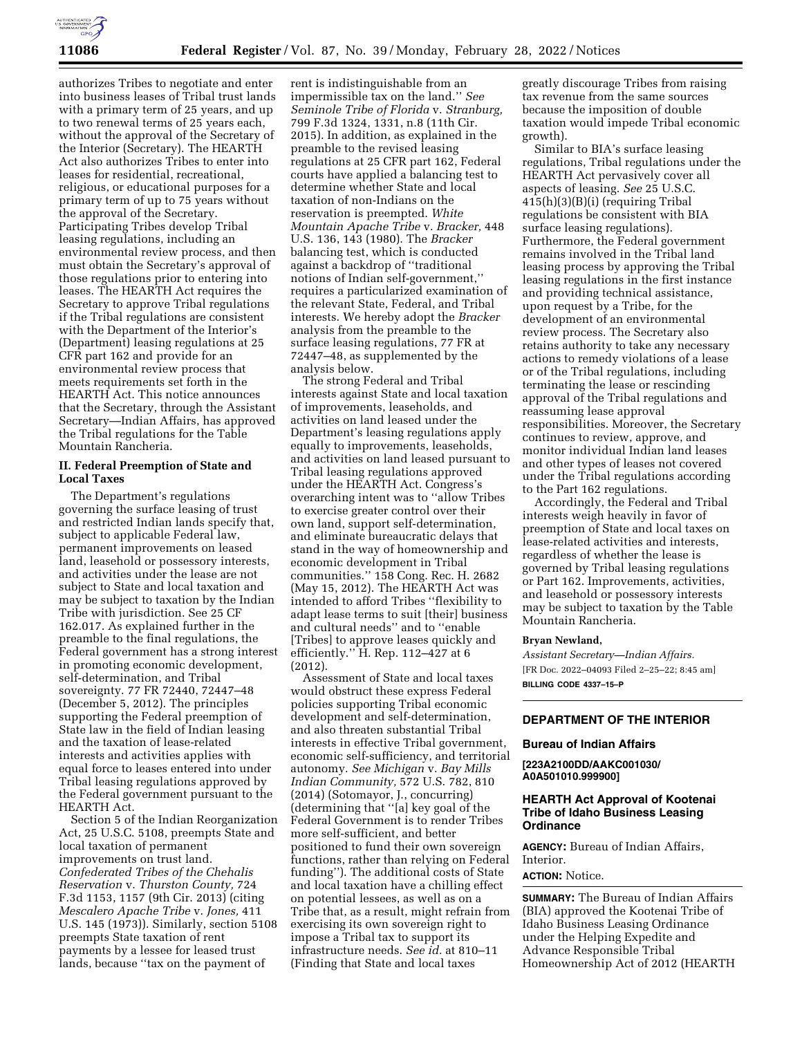

authorizes Tribes to negotiate and enter into business leases of Tribal trust lands with a primary term of 25 years, and up to two renewal terms of 25 years each, without the approval of the Secretary of the Interior (Secretary). The HEARTH Act also authorizes Tribes to enter into leases for residential, recreational, religious, or educational purposes for a primary term of up to 75 years without the approval of the Secretary. Participating Tribes develop Tribal leasing regulations, including an environmental review process, and then must obtain the Secretary's approval of those regulations prior to entering into leases. The HEARTH Act requires the Secretary to approve Tribal regulations if the Tribal regulations are consistent with the Department of the Interior's (Department) leasing regulations at 25 CFR part 162 and provide for an environmental review process that meets requirements set forth in the HEARTH Act. This notice announces that the Secretary, through the Assistant Secretary—Indian Affairs, has approved the Tribal regulations for the Table Mountain Rancheria.

## **II. Federal Preemption of State and Local Taxes**

The Department's regulations governing the surface leasing of trust and restricted Indian lands specify that, subject to applicable Federal law, permanent improvements on leased land, leasehold or possessory interests, and activities under the lease are not subject to State and local taxation and may be subject to taxation by the Indian Tribe with jurisdiction. See 25 CF 162.017. As explained further in the preamble to the final regulations, the Federal government has a strong interest in promoting economic development, self-determination, and Tribal sovereignty. 77 FR 72440, 72447–48 (December 5, 2012). The principles supporting the Federal preemption of State law in the field of Indian leasing and the taxation of lease-related interests and activities applies with equal force to leases entered into under Tribal leasing regulations approved by the Federal government pursuant to the HEARTH Act.

Section 5 of the Indian Reorganization Act, 25 U.S.C. 5108, preempts State and local taxation of permanent improvements on trust land. *Confederated Tribes of the Chehalis Reservation* v. *Thurston County,* 724 F.3d 1153, 1157 (9th Cir. 2013) (citing *Mescalero Apache Tribe* v. *Jones,* 411 U.S. 145 (1973)). Similarly, section 5108 preempts State taxation of rent payments by a lessee for leased trust lands, because ''tax on the payment of

rent is indistinguishable from an impermissible tax on the land.'' *See Seminole Tribe of Florida* v. *Stranburg,*  799 F.3d 1324, 1331, n.8 (11th Cir. 2015). In addition, as explained in the preamble to the revised leasing regulations at 25 CFR part 162, Federal courts have applied a balancing test to determine whether State and local taxation of non-Indians on the reservation is preempted. *White Mountain Apache Tribe* v. *Bracker,* 448 U.S. 136, 143 (1980). The *Bracker*  balancing test, which is conducted against a backdrop of ''traditional notions of Indian self-government,'' requires a particularized examination of the relevant State, Federal, and Tribal interests. We hereby adopt the *Bracker*  analysis from the preamble to the surface leasing regulations, 77 FR at 72447–48, as supplemented by the analysis below.

The strong Federal and Tribal interests against State and local taxation of improvements, leaseholds, and activities on land leased under the Department's leasing regulations apply equally to improvements, leaseholds, and activities on land leased pursuant to Tribal leasing regulations approved under the HEARTH Act. Congress's overarching intent was to ''allow Tribes to exercise greater control over their own land, support self-determination, and eliminate bureaucratic delays that stand in the way of homeownership and economic development in Tribal communities.'' 158 Cong. Rec. H. 2682 (May 15, 2012). The HEARTH Act was intended to afford Tribes ''flexibility to adapt lease terms to suit [their] business and cultural needs'' and to ''enable [Tribes] to approve leases quickly and efficiently."  $\hat{H}$ . Rep. 112–427 at 6 (2012).

Assessment of State and local taxes would obstruct these express Federal policies supporting Tribal economic development and self-determination, and also threaten substantial Tribal interests in effective Tribal government, economic self-sufficiency, and territorial autonomy. *See Michigan* v. *Bay Mills Indian Community,* 572 U.S. 782, 810 (2014) (Sotomayor, J., concurring) (determining that ''[a] key goal of the Federal Government is to render Tribes more self-sufficient, and better positioned to fund their own sovereign functions, rather than relying on Federal funding''). The additional costs of State and local taxation have a chilling effect on potential lessees, as well as on a Tribe that, as a result, might refrain from exercising its own sovereign right to impose a Tribal tax to support its infrastructure needs. *See id.* at 810–11 (Finding that State and local taxes

greatly discourage Tribes from raising tax revenue from the same sources because the imposition of double taxation would impede Tribal economic growth).

Similar to BIA's surface leasing regulations, Tribal regulations under the HEARTH Act pervasively cover all aspects of leasing. *See* 25 U.S.C. 415(h)(3)(B)(i) (requiring Tribal regulations be consistent with BIA surface leasing regulations). Furthermore, the Federal government remains involved in the Tribal land leasing process by approving the Tribal leasing regulations in the first instance and providing technical assistance, upon request by a Tribe, for the development of an environmental review process. The Secretary also retains authority to take any necessary actions to remedy violations of a lease or of the Tribal regulations, including terminating the lease or rescinding approval of the Tribal regulations and reassuming lease approval responsibilities. Moreover, the Secretary continues to review, approve, and monitor individual Indian land leases and other types of leases not covered under the Tribal regulations according to the Part 162 regulations.

Accordingly, the Federal and Tribal interests weigh heavily in favor of preemption of State and local taxes on lease-related activities and interests, regardless of whether the lease is governed by Tribal leasing regulations or Part 162. Improvements, activities, and leasehold or possessory interests may be subject to taxation by the Table Mountain Rancheria.

#### **Bryan Newland,**

*Assistant Secretary—Indian Affairs.*  [FR Doc. 2022–04093 Filed 2–25–22; 8:45 am] **BILLING CODE 4337–15–P** 

# **DEPARTMENT OF THE INTERIOR**

#### **Bureau of Indian Affairs**

**[223A2100DD/AAKC001030/ A0A501010.999900]** 

## **HEARTH Act Approval of Kootenai Tribe of Idaho Business Leasing Ordinance**

**AGENCY:** Bureau of Indian Affairs, Interior.

## **ACTION:** Notice.

**SUMMARY:** The Bureau of Indian Affairs (BIA) approved the Kootenai Tribe of Idaho Business Leasing Ordinance under the Helping Expedite and Advance Responsible Tribal Homeownership Act of 2012 (HEARTH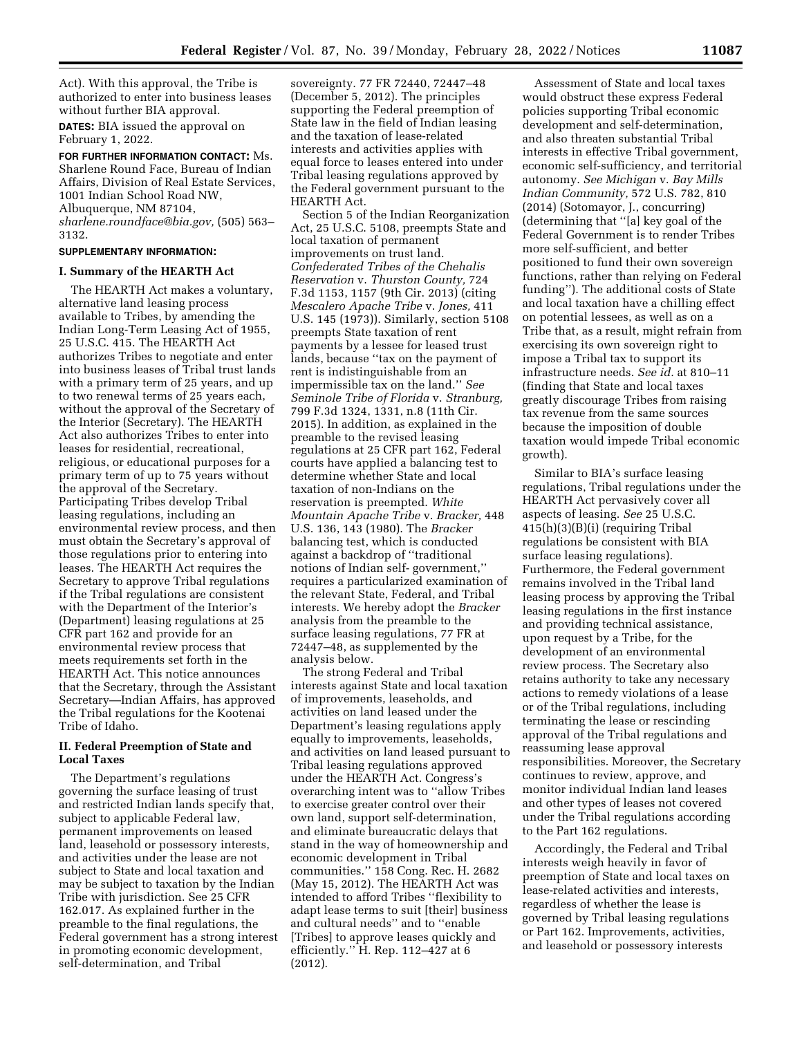Act). With this approval, the Tribe is authorized to enter into business leases without further BIA approval.

**DATES:** BIA issued the approval on February 1, 2022.

**FOR FURTHER INFORMATION CONTACT:** Ms. Sharlene Round Face, Bureau of Indian Affairs, Division of Real Estate Services, 1001 Indian School Road NW, Albuquerque, NM 87104, *[sharlene.roundface@bia.gov,](mailto:sharlene.roundface@bia.gov)* (505) 563– 3132.

## **SUPPLEMENTARY INFORMATION:**

## **I. Summary of the HEARTH Act**

The HEARTH Act makes a voluntary, alternative land leasing process available to Tribes, by amending the Indian Long-Term Leasing Act of 1955, 25 U.S.C. 415. The HEARTH Act authorizes Tribes to negotiate and enter into business leases of Tribal trust lands with a primary term of 25 years, and up to two renewal terms of 25 years each, without the approval of the Secretary of the Interior (Secretary). The HEARTH Act also authorizes Tribes to enter into leases for residential, recreational, religious, or educational purposes for a primary term of up to 75 years without the approval of the Secretary. Participating Tribes develop Tribal leasing regulations, including an environmental review process, and then must obtain the Secretary's approval of those regulations prior to entering into leases. The HEARTH Act requires the Secretary to approve Tribal regulations if the Tribal regulations are consistent with the Department of the Interior's (Department) leasing regulations at 25 CFR part 162 and provide for an environmental review process that meets requirements set forth in the HEARTH Act. This notice announces that the Secretary, through the Assistant Secretary—Indian Affairs, has approved the Tribal regulations for the Kootenai Tribe of Idaho.

# **II. Federal Preemption of State and Local Taxes**

The Department's regulations governing the surface leasing of trust and restricted Indian lands specify that, subject to applicable Federal law, permanent improvements on leased land, leasehold or possessory interests, and activities under the lease are not subject to State and local taxation and may be subject to taxation by the Indian Tribe with jurisdiction. See 25 CFR 162.017. As explained further in the preamble to the final regulations, the Federal government has a strong interest in promoting economic development, self-determination, and Tribal

sovereignty. 77 FR 72440, 72447–48 (December 5, 2012). The principles supporting the Federal preemption of State law in the field of Indian leasing and the taxation of lease-related interests and activities applies with equal force to leases entered into under Tribal leasing regulations approved by the Federal government pursuant to the HEARTH Act.

Section 5 of the Indian Reorganization Act, 25 U.S.C. 5108, preempts State and local taxation of permanent improvements on trust land. *Confederated Tribes of the Chehalis Reservation* v. *Thurston County,* 724 F.3d 1153, 1157 (9th Cir. 2013) (citing *Mescalero Apache Tribe* v. *Jones,* 411 U.S. 145 (1973)). Similarly, section 5108 preempts State taxation of rent payments by a lessee for leased trust lands, because ''tax on the payment of rent is indistinguishable from an impermissible tax on the land.'' *See Seminole Tribe of Florida* v. *Stranburg,*  799 F.3d 1324, 1331, n.8 (11th Cir. 2015). In addition, as explained in the preamble to the revised leasing regulations at 25 CFR part 162, Federal courts have applied a balancing test to determine whether State and local taxation of non-Indians on the reservation is preempted. *White Mountain Apache Tribe* v. *Bracker,* 448 U.S. 136, 143 (1980). The *Bracker*  balancing test, which is conducted against a backdrop of ''traditional notions of Indian self- government,'' requires a particularized examination of the relevant State, Federal, and Tribal interests. We hereby adopt the *Bracker*  analysis from the preamble to the surface leasing regulations, 77 FR at 72447–48, as supplemented by the analysis below.

The strong Federal and Tribal interests against State and local taxation of improvements, leaseholds, and activities on land leased under the Department's leasing regulations apply equally to improvements, leaseholds, and activities on land leased pursuant to Tribal leasing regulations approved under the HEARTH Act. Congress's overarching intent was to ''allow Tribes to exercise greater control over their own land, support self-determination, and eliminate bureaucratic delays that stand in the way of homeownership and economic development in Tribal communities.'' 158 Cong. Rec. H. 2682 (May 15, 2012). The HEARTH Act was intended to afford Tribes ''flexibility to adapt lease terms to suit [their] business and cultural needs'' and to ''enable [Tribes] to approve leases quickly and efficiently.'' H. Rep. 112–427 at 6 (2012).

Assessment of State and local taxes would obstruct these express Federal policies supporting Tribal economic development and self-determination, and also threaten substantial Tribal interests in effective Tribal government, economic self-sufficiency, and territorial autonomy. *See Michigan* v. *Bay Mills Indian Community,* 572 U.S. 782, 810 (2014) (Sotomayor, J., concurring) (determining that ''[a] key goal of the Federal Government is to render Tribes more self-sufficient, and better positioned to fund their own sovereign functions, rather than relying on Federal funding''). The additional costs of State and local taxation have a chilling effect on potential lessees, as well as on a Tribe that, as a result, might refrain from exercising its own sovereign right to impose a Tribal tax to support its infrastructure needs. *See id.* at 810–11 (finding that State and local taxes greatly discourage Tribes from raising tax revenue from the same sources because the imposition of double taxation would impede Tribal economic growth).

Similar to BIA's surface leasing regulations, Tribal regulations under the HEARTH Act pervasively cover all aspects of leasing. *See* 25 U.S.C. 415(h)(3)(B)(i) (requiring Tribal regulations be consistent with BIA surface leasing regulations). Furthermore, the Federal government remains involved in the Tribal land leasing process by approving the Tribal leasing regulations in the first instance and providing technical assistance, upon request by a Tribe, for the development of an environmental review process. The Secretary also retains authority to take any necessary actions to remedy violations of a lease or of the Tribal regulations, including terminating the lease or rescinding approval of the Tribal regulations and reassuming lease approval responsibilities. Moreover, the Secretary continues to review, approve, and monitor individual Indian land leases and other types of leases not covered under the Tribal regulations according to the Part 162 regulations.

Accordingly, the Federal and Tribal interests weigh heavily in favor of preemption of State and local taxes on lease-related activities and interests, regardless of whether the lease is governed by Tribal leasing regulations or Part 162. Improvements, activities, and leasehold or possessory interests